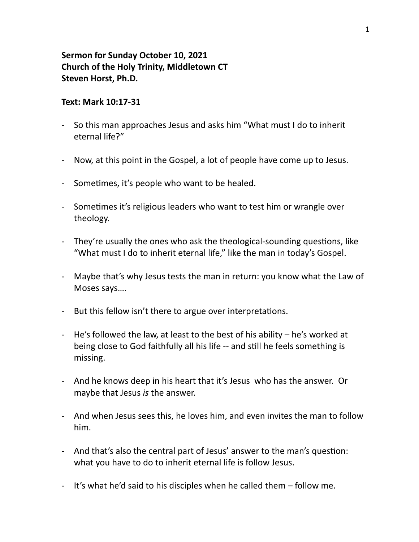## **Sermon for Sunday October 10, 2021 Church of the Holy Trinity, Middletown CT** Steven Horst, Ph.D.

## **Text: Mark 10:17-31**

- So this man approaches Jesus and asks him "What must I do to inherit eternal life?"
- Now, at this point in the Gospel, a lot of people have come up to Jesus.
- Sometimes, it's people who want to be healed.
- Sometimes it's religious leaders who want to test him or wrangle over theology.
- They're usually the ones who ask the theological-sounding questions, like "What must I do to inherit eternal life," like the man in today's Gospel.
- Maybe that's why Jesus tests the man in return: you know what the Law of Moses says....
- But this fellow isn't there to argue over interpretations.
- He's followed the law, at least to the best of his ability  $-$  he's worked at being close to God faithfully all his life -- and still he feels something is missing.
- And he knows deep in his heart that it's Jesus who has the answer. Or maybe that Jesus *is* the answer.
- And when Jesus sees this, he loves him, and even invites the man to follow him.
- And that's also the central part of Jesus' answer to the man's question: what you have to do to inherit eternal life is follow Jesus.
- It's what he'd said to his disciples when he called them follow me.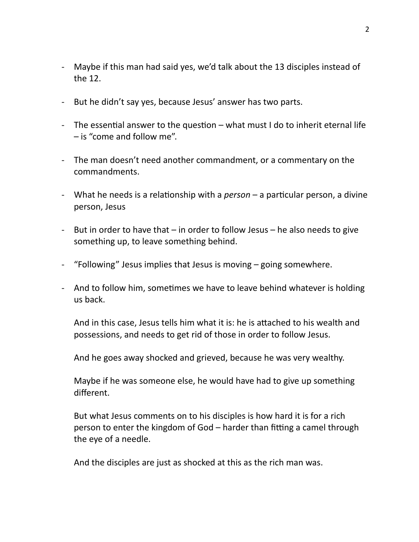- Maybe if this man had said yes, we'd talk about the 13 disciples instead of the 12.
- But he didn't say yes, because Jesus' answer has two parts.
- The essential answer to the question  $-$  what must I do to inherit eternal life  $-$  is "come and follow me".
- The man doesn't need another commandment, or a commentary on the commandments.
- What he needs is a relationship with a *person* a particular person, a divine person, Jesus
- But in order to have that  $-$  in order to follow Jesus  $-$  he also needs to give something up, to leave something behind.
- "Following" Jesus implies that Jesus is moving  $-$  going somewhere.
- And to follow him, sometimes we have to leave behind whatever is holding us back.

And in this case, Jesus tells him what it is: he is attached to his wealth and possessions, and needs to get rid of those in order to follow Jesus.

And he goes away shocked and grieved, because he was very wealthy.

Maybe if he was someone else, he would have had to give up something different. 

But what Jesus comments on to his disciples is how hard it is for a rich person to enter the kingdom of God – harder than fitting a camel through the eye of a needle.

And the disciples are just as shocked at this as the rich man was.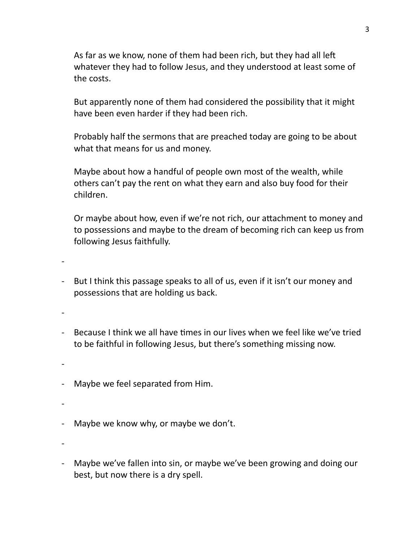As far as we know, none of them had been rich, but they had all left whatever they had to follow Jesus, and they understood at least some of the costs.

But apparently none of them had considered the possibility that it might have been even harder if they had been rich.

Probably half the sermons that are preached today are going to be about what that means for us and money.

Maybe about how a handful of people own most of the wealth, while others can't pay the rent on what they earn and also buy food for their children.

Or maybe about how, even if we're not rich, our attachment to money and to possessions and maybe to the dream of becoming rich can keep us from following Jesus faithfully.

-

- But I think this passage speaks to all of us, even if it isn't our money and possessions that are holding us back.

-

- Because I think we all have times in our lives when we feel like we've tried to be faithful in following Jesus, but there's something missing now.

-

- Maybe we feel separated from Him.

-

- Maybe we know why, or maybe we don't.

-

- Maybe we've fallen into sin, or maybe we've been growing and doing our best, but now there is a dry spell.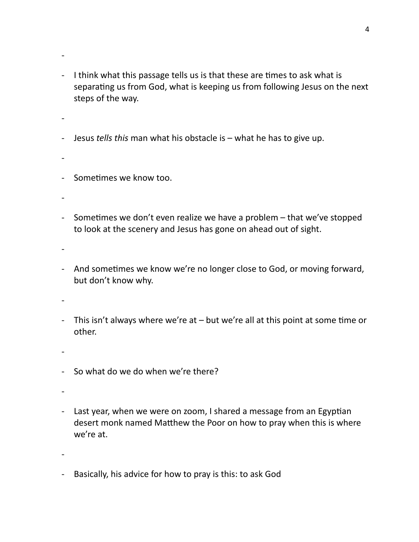- I think what this passage tells us is that these are times to ask what is separating us from God, what is keeping us from following Jesus on the next steps of the way.
- -

- Jesus *tells* this man what his obstacle is what he has to give up.
- -
- Sometimes we know too.
- -
- Sometimes we don't even realize we have a problem  $-$  that we've stopped to look at the scenery and Jesus has gone on ahead out of sight.
- -
- And sometimes we know we're no longer close to God, or moving forward, but don't know why.
- -
- This isn't always where we're at  $-$  but we're all at this point at some time or other.
- -
- So what do we do when we're there?
- -
- Last year, when we were on zoom, I shared a message from an Egyptian desert monk named Matthew the Poor on how to pray when this is where we're at.
- -
- Basically, his advice for how to pray is this: to ask God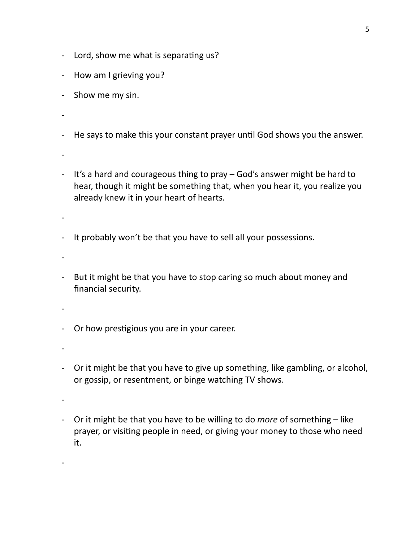- Lord, show me what is separating us?
- How am I grieving you?
- Show me my sin.
- -
- He says to make this your constant prayer until God shows you the answer.
- -
- It's a hard and courageous thing to pray God's answer might be hard to hear, though it might be something that, when you hear it, you realize you already knew it in your heart of hearts.
- -
- It probably won't be that you have to sell all your possessions.
- -
- But it might be that you have to stop caring so much about money and financial security.
- -
- Or how prestigious you are in your career.
- -
- Or it might be that you have to give up something, like gambling, or alcohol, or gossip, or resentment, or binge watching TV shows.
- -

- Or it might be that you have to be willing to do *more* of something – like prayer, or visiting people in need, or giving your money to those who need it.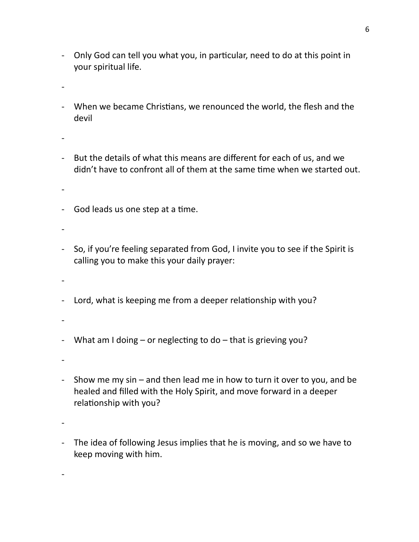- Only God can tell you what you, in particular, need to do at this point in your spiritual life.
- -
- When we became Christians, we renounced the world, the flesh and the devil
- -
- But the details of what this means are different for each of us, and we didn't have to confront all of them at the same time when we started out.
- -
- God leads us one step at a time.
- -
- So, if you're feeling separated from God, I invite you to see if the Spirit is calling you to make this your daily prayer:
- -
- Lord, what is keeping me from a deeper relationship with you?
- -
- What am I doing  $-$  or neglecting to do  $-$  that is grieving you?
- -
- Show me my sin  $-$  and then lead me in how to turn it over to you, and be healed and filled with the Holy Spirit, and move forward in a deeper relationship with you?
- -

- The idea of following Jesus implies that he is moving, and so we have to keep moving with him.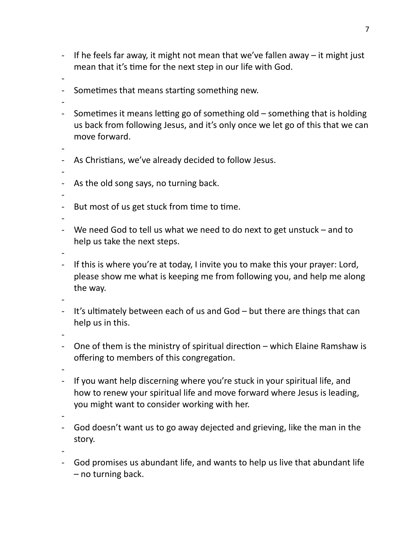- If he feels far away, it might not mean that we've fallen away  $-$  it might just mean that it's time for the next step in our life with God.
- -
- Sometimes that means starting something new.
- -
- Sometimes it means letting go of something old  $-$  something that is holding us back from following Jesus, and it's only once we let go of this that we can move forward.
- -
- As Christians, we've already decided to follow Jesus.
- -
- As the old song says, no turning back.
- -
- But most of us get stuck from time to time.

- We need God to tell us what we need to do next to get unstuck and to help us take the next steps.
- -
- If this is where you're at today, I invite you to make this your prayer: Lord, please show me what is keeping me from following you, and help me along the way.

-

- It's ultimately between each of us and  $God but$  there are things that can help us in this.
- -
- One of them is the ministry of spiritual direction  $-$  which Elaine Ramshaw is offering to members of this congregation.
- -
- If you want help discerning where you're stuck in your spiritual life, and how to renew your spiritual life and move forward where Jesus is leading, you might want to consider working with her.
- -
- God doesn't want us to go away dejected and grieving, like the man in the story.
- -
- God promises us abundant life, and wants to help us live that abundant life  $-$  no turning back.